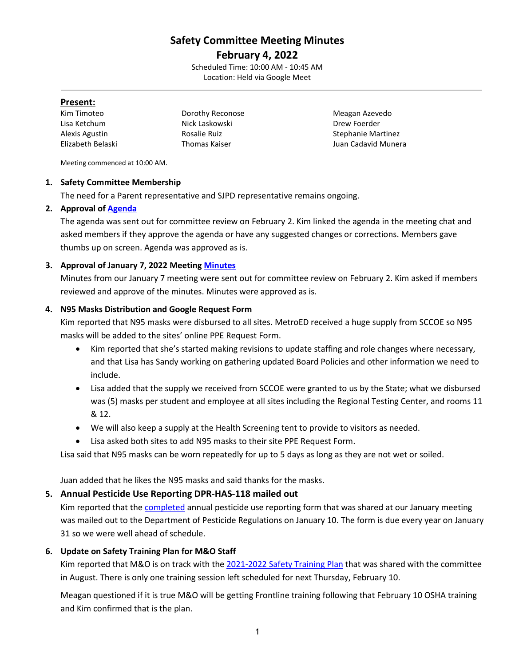# **Safety Committee Meeting Minutes**

**February 4, 2022** Scheduled Time: 10:00 AM - 10:45 AM Location: Held via Google Meet

### **Present:**

Kim Timoteo **Meagan Azevedo** Dorothy Reconose **Meagan Azevedo** Lisa Ketchum Nick Laskowski Drew Foerder Alexis Agustin **Rosalie Ruiz Stephanie Martinez** Stephanie Martinez Elizabeth Belaski Thomas Kaiser Juan Cadavid Munera

Meeting commenced at 10:00 AM.

### **1. Safety Committee Membership**

The need for a Parent representative and SJPD representative remains ongoing.

### **2. Approval of [Agenda](https://drive.google.com/file/d/1t_jJVgvw58Qa3zP8j8qFBsdZc4CZi3u_/view?usp=sharing)**

The agenda was sent out for committee review on February 2. Kim linked the agenda in the meeting chat and asked members if they approve the agenda or have any suggested changes or corrections. Members gave thumbs up on screen. Agenda was approved as is.

## **3. Approval of January 7, 2022 Meetin[g Minutes](https://drive.google.com/file/d/16zk4olrsSh184w6sC1koNNhVDskp0LXS/view?usp=sharing)**

Minutes from our January 7 meeting were sent out for committee review on February 2. Kim asked if members reviewed and approve of the minutes. Minutes were approved as is.

### **4. N95 Masks Distribution and Google Request Form**

Kim reported that N95 masks were disbursed to all sites. MetroED received a huge supply from SCCOE so N95 masks will be added to the sites' online PPE Request Form.

- Kim reported that she's started making revisions to update staffing and role changes where necessary, and that Lisa has Sandy working on gathering updated Board Policies and other information we need to include.
- Lisa added that the supply we received from SCCOE were granted to us by the State; what we disbursed was (5) masks per student and employee at all sites including the Regional Testing Center, and rooms 11 & 12.
- We will also keep a supply at the Health Screening tent to provide to visitors as needed.
- Lisa asked both sites to add N95 masks to their site PPE Request Form.

Lisa said that N95 masks can be worn repeatedly for up to 5 days as long as they are not wet or soiled.

Juan added that he likes the N95 masks and said thanks for the masks.

## **5. Annual Pesticide Use Reporting DPR-HAS-118 mailed out**

Kim reported that the [completed](https://drive.google.com/file/d/1g6IsmVAid86YWKdKWNVVLjgHOkIVPOJM/view?usp=sharing) annual pesticide use reporting form that was shared at our January meeting was mailed out to the Department of Pesticide Regulations on January 10. The form is due every year on January 31 so we were well ahead of schedule.

### **6. Update on Safety Training Plan for M&O Staff**

Kim reported that M&O is on track with the [2021-2022 Safety Training Plan](https://drive.google.com/file/d/1fjcDKWIztNJjbxDOSJiUBcZwvJ-9jbDB/view?usp=sharing) that was shared with the committee in August. There is only one training session left scheduled for next Thursday, February 10.

Meagan questioned if it is true M&O will be getting Frontline training following that February 10 OSHA training and Kim confirmed that is the plan.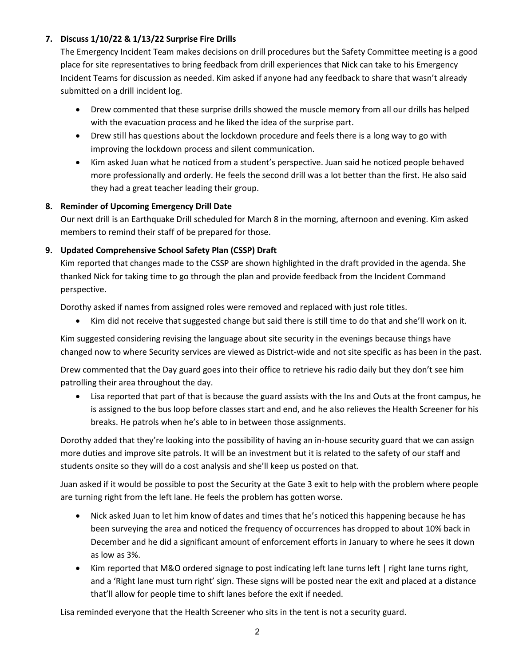# **7. Discuss 1/10/22 & 1/13/22 Surprise Fire Drills**

The Emergency Incident Team makes decisions on drill procedures but the Safety Committee meeting is a good place for site representatives to bring feedback from drill experiences that Nick can take to his Emergency Incident Teams for discussion as needed. Kim asked if anyone had any feedback to share that wasn't already submitted on a drill incident log.

- Drew commented that these surprise drills showed the muscle memory from all our drills has helped with the evacuation process and he liked the idea of the surprise part.
- Drew still has questions about the lockdown procedure and feels there is a long way to go with improving the lockdown process and silent communication.
- Kim asked Juan what he noticed from a student's perspective. Juan said he noticed people behaved more professionally and orderly. He feels the second drill was a lot better than the first. He also said they had a great teacher leading their group.

# **8. Reminder of Upcoming Emergency Drill Date**

Our next drill is an Earthquake Drill scheduled for March 8 in the morning, afternoon and evening. Kim asked members to remind their staff of be prepared for those.

# **9. Updated Comprehensive School Safety Plan (CSSP) Draft**

Kim reported that changes made to the CSSP are shown highlighted in the draft provided in the agenda. She thanked Nick for taking time to go through the plan and provide feedback from the Incident Command perspective.

Dorothy asked if names from assigned roles were removed and replaced with just role titles.

• Kim did not receive that suggested change but said there is still time to do that and she'll work on it.

Kim suggested considering revising the language about site security in the evenings because things have changed now to where Security services are viewed as District-wide and not site specific as has been in the past.

Drew commented that the Day guard goes into their office to retrieve his radio daily but they don't see him patrolling their area throughout the day.

• Lisa reported that part of that is because the guard assists with the Ins and Outs at the front campus, he is assigned to the bus loop before classes start and end, and he also relieves the Health Screener for his breaks. He patrols when he's able to in between those assignments.

Dorothy added that they're looking into the possibility of having an in-house security guard that we can assign more duties and improve site patrols. It will be an investment but it is related to the safety of our staff and students onsite so they will do a cost analysis and she'll keep us posted on that.

Juan asked if it would be possible to post the Security at the Gate 3 exit to help with the problem where people are turning right from the left lane. He feels the problem has gotten worse.

- Nick asked Juan to let him know of dates and times that he's noticed this happening because he has been surveying the area and noticed the frequency of occurrences has dropped to about 10% back in December and he did a significant amount of enforcement efforts in January to where he sees it down as low as 3%.
- Kim reported that M&O ordered signage to post indicating left lane turns left | right lane turns right, and a 'Right lane must turn right' sign. These signs will be posted near the exit and placed at a distance that'll allow for people time to shift lanes before the exit if needed.

Lisa reminded everyone that the Health Screener who sits in the tent is not a security guard.